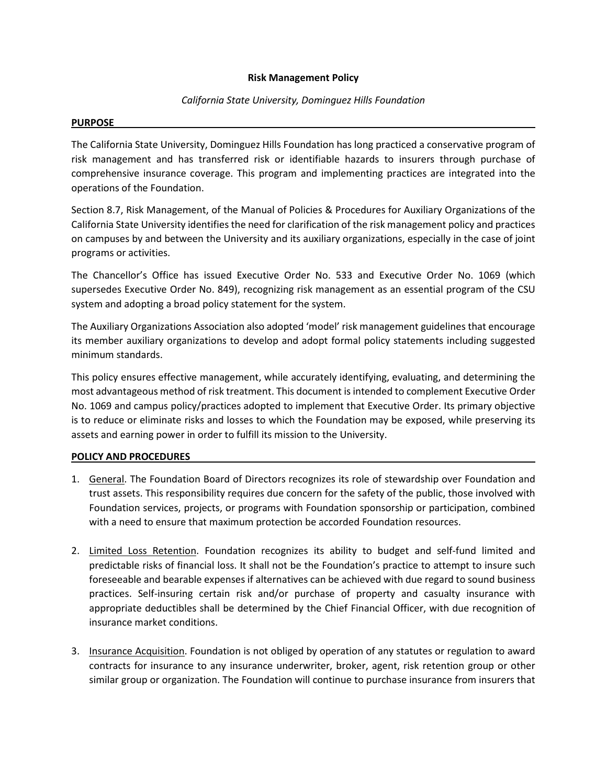## **Risk Management Policy**

## *California State University, Dominguez Hills Foundation*

## **PURPOSE**

The California State University, Dominguez Hills Foundation has long practiced a conservative program of risk management and has transferred risk or identifiable hazards to insurers through purchase of comprehensive insurance coverage. This program and implementing practices are integrated into the operations of the Foundation.

Section 8.7, Risk Management, of the Manual of Policies & Procedures for Auxiliary Organizations of the California State University identifies the need for clarification of the risk management policy and practices on campuses by and between the University and its auxiliary organizations, especially in the case of joint programs or activities.

The Chancellor's Office has issued Executive Order No. 533 and Executive Order No. 1069 (which supersedes Executive Order No. 849), recognizing risk management as an essential program of the CSU system and adopting a broad policy statement for the system.

The Auxiliary Organizations Association also adopted 'model' risk management guidelines that encourage its member auxiliary organizations to develop and adopt formal policy statements including suggested minimum standards.

This policy ensures effective management, while accurately identifying, evaluating, and determining the most advantageous method of risk treatment. This document is intended to complement Executive Order No. 1069 and campus policy/practices adopted to implement that Executive Order. Its primary objective is to reduce or eliminate risks and losses to which the Foundation may be exposed, while preserving its assets and earning power in order to fulfill its mission to the University.

## **POLICY AND PROCEDURES**

- 1. General. The Foundation Board of Directors recognizes its role of stewardship over Foundation and trust assets. This responsibility requires due concern for the safety of the public, those involved with Foundation services, projects, or programs with Foundation sponsorship or participation, combined with a need to ensure that maximum protection be accorded Foundation resources.
- 2. Limited Loss Retention. Foundation recognizes its ability to budget and self-fund limited and predictable risks of financial loss. It shall not be the Foundation's practice to attempt to insure such foreseeable and bearable expenses if alternatives can be achieved with due regard to sound business practices. Self-insuring certain risk and/or purchase of property and casualty insurance with appropriate deductibles shall be determined by the Chief Financial Officer, with due recognition of insurance market conditions.
- 3. Insurance Acquisition. Foundation is not obliged by operation of any statutes or regulation to award contracts for insurance to any insurance underwriter, broker, agent, risk retention group or other similar group or organization. The Foundation will continue to purchase insurance from insurers that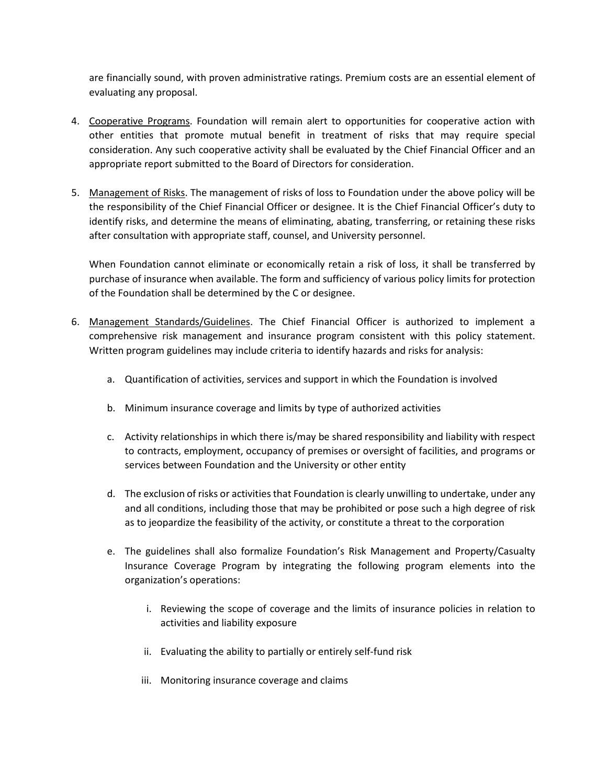are financially sound, with proven administrative ratings. Premium costs are an essential element of evaluating any proposal.

- 4. Cooperative Programs. Foundation will remain alert to opportunities for cooperative action with other entities that promote mutual benefit in treatment of risks that may require special consideration. Any such cooperative activity shall be evaluated by the Chief Financial Officer and an appropriate report submitted to the Board of Directors for consideration.
- 5. Management of Risks. The management of risks of loss to Foundation under the above policy will be the responsibility of the Chief Financial Officer or designee. It is the Chief Financial Officer's duty to identify risks, and determine the means of eliminating, abating, transferring, or retaining these risks after consultation with appropriate staff, counsel, and University personnel.

When Foundation cannot eliminate or economically retain a risk of loss, it shall be transferred by purchase of insurance when available. The form and sufficiency of various policy limits for protection of the Foundation shall be determined by the C or designee.

- 6. Management Standards/Guidelines. The Chief Financial Officer is authorized to implement a comprehensive risk management and insurance program consistent with this policy statement. Written program guidelines may include criteria to identify hazards and risks for analysis:
	- a. Quantification of activities, services and support in which the Foundation is involved
	- b. Minimum insurance coverage and limits by type of authorized activities
	- c. Activity relationships in which there is/may be shared responsibility and liability with respect to contracts, employment, occupancy of premises or oversight of facilities, and programs or services between Foundation and the University or other entity
	- d. The exclusion of risks or activities that Foundation is clearly unwilling to undertake, under any and all conditions, including those that may be prohibited or pose such a high degree of risk as to jeopardize the feasibility of the activity, or constitute a threat to the corporation
	- e. The guidelines shall also formalize Foundation's Risk Management and Property/Casualty Insurance Coverage Program by integrating the following program elements into the organization's operations:
		- i. Reviewing the scope of coverage and the limits of insurance policies in relation to activities and liability exposure
		- ii. Evaluating the ability to partially or entirely self-fund risk
		- iii. Monitoring insurance coverage and claims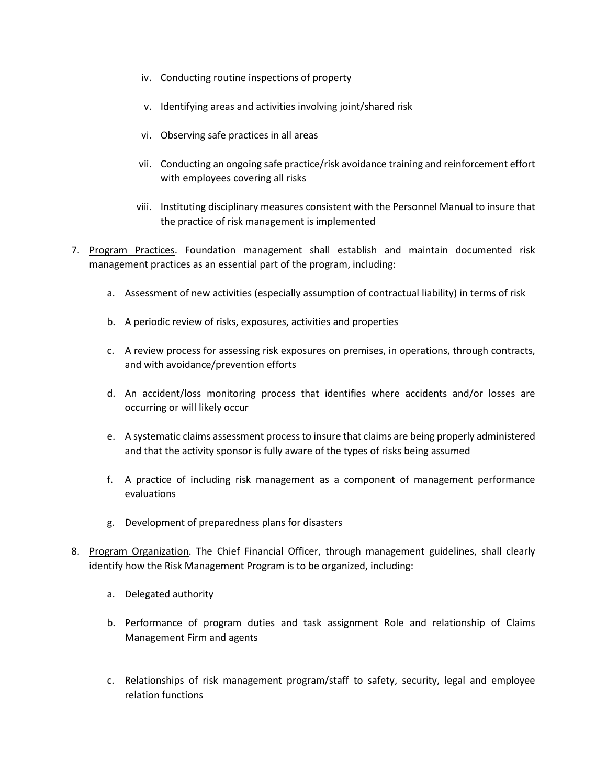- iv. Conducting routine inspections of property
- v. Identifying areas and activities involving joint/shared risk
- vi. Observing safe practices in all areas
- vii. Conducting an ongoing safe practice/risk avoidance training and reinforcement effort with employees covering all risks
- viii. Instituting disciplinary measures consistent with the Personnel Manual to insure that the practice of risk management is implemented
- 7. Program Practices. Foundation management shall establish and maintain documented risk management practices as an essential part of the program, including:
	- a. Assessment of new activities (especially assumption of contractual liability) in terms of risk
	- b. A periodic review of risks, exposures, activities and properties
	- c. A review process for assessing risk exposures on premises, in operations, through contracts, and with avoidance/prevention efforts
	- d. An accident/loss monitoring process that identifies where accidents and/or losses are occurring or will likely occur
	- e. A systematic claims assessment process to insure that claims are being properly administered and that the activity sponsor is fully aware of the types of risks being assumed
	- f. A practice of including risk management as a component of management performance evaluations
	- g. Development of preparedness plans for disasters
- 8. Program Organization. The Chief Financial Officer, through management guidelines, shall clearly identify how the Risk Management Program is to be organized, including:
	- a. Delegated authority
	- b. Performance of program duties and task assignment Role and relationship of Claims Management Firm and agents
	- c. Relationships of risk management program/staff to safety, security, legal and employee relation functions